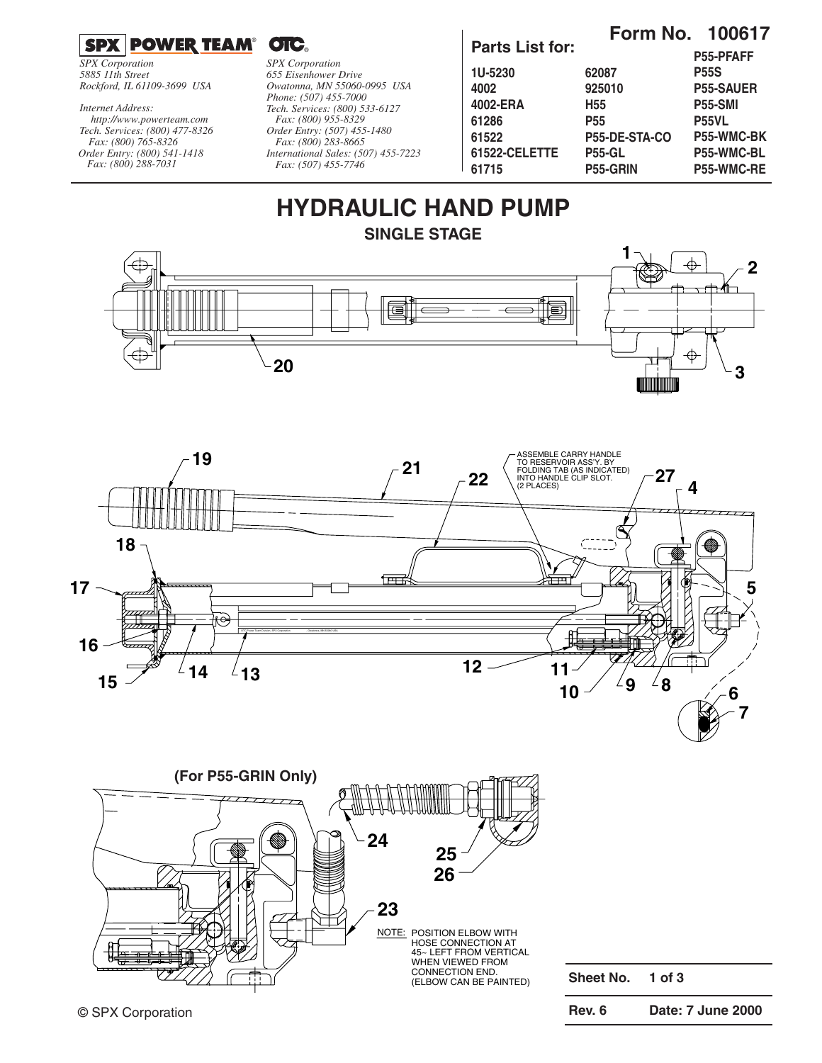### $^{\circ}$  OIC.

*SPX Corporation 5885 11th Street Rockford, IL 61109-3699 USA*

*Internet Address:*

*Tech. Services: (800) 477-8326 Fax: (800) 765-8326 Order Entry: (800) 541-1418 Fax: (800) 288-7031 http://www.powerteam.com*

*SPX Corporation 655 Eisenhower Drive Owatonna, MN 55060-0995 USA Phone: (507) 455-7000 Tech. Services: (800) 533-6127 Fax: (800) 955-8329 Order Entry: (507) 455-1480 Fax: (800) 283-8665 International Sales: (507) 455-7223 Fax: (507) 455-7746*

### **Parts List for:**

**Form No. 100617**

|                |                 | <b>P55-PFAFF</b>  |
|----------------|-----------------|-------------------|
| <b>1U-5230</b> | 62087           | <b>P55S</b>       |
| 4002           | 925010          | <b>P55-SAUER</b>  |
| 4002-ERA       | H55             | <b>P55-SMI</b>    |
| 61286          | <b>P55</b>      | <b>P55VL</b>      |
| 61522          | P55-DE-STA-CO   | <b>P55-WMC-BK</b> |
| 61522-CELETTE  | <b>P55-GL</b>   | P55-WMC-BL        |
| 61715          | <b>P55-GRIN</b> | P55-WMC-RE        |
|                |                 |                   |

## **HYDRAULIC HAND PUMP SINGLE STAGE**







**Sheet No. 1 of 3**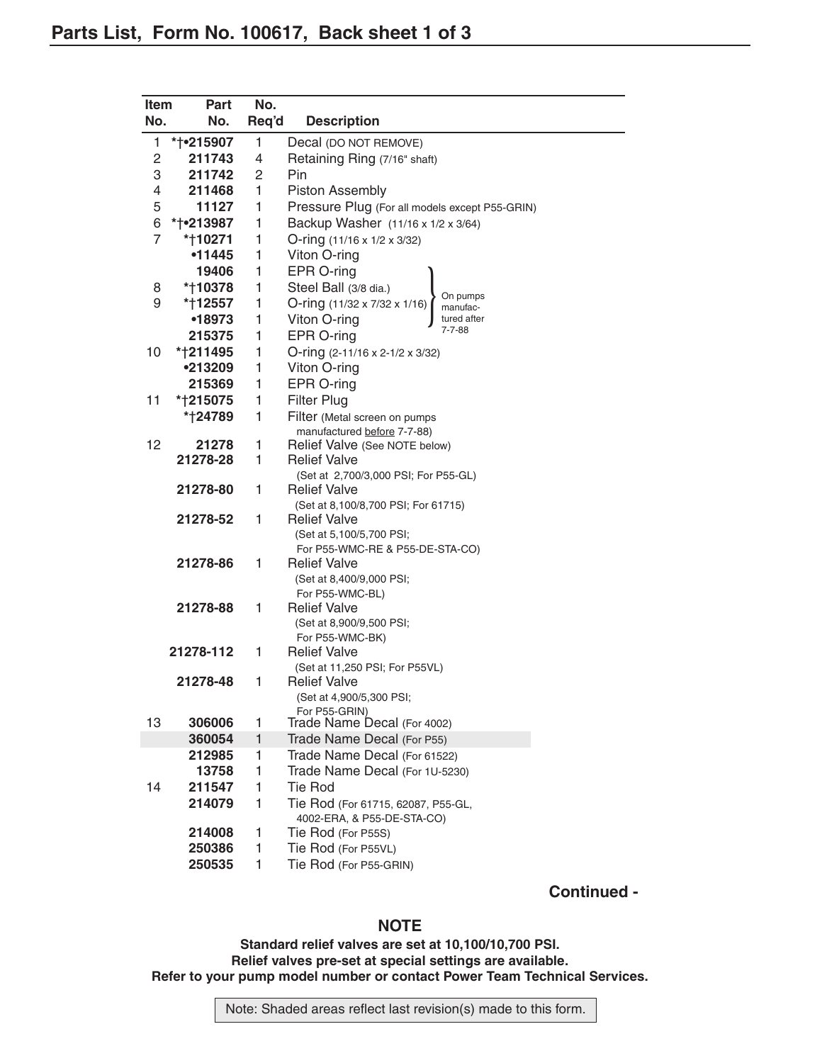| Item           | <b>Part</b>  | No.          |                                                            |
|----------------|--------------|--------------|------------------------------------------------------------|
| No.            | No.          | Req'd        | <b>Description</b>                                         |
| 1              | * † • 215907 | 1            | Decal (DO NOT REMOVE)                                      |
| $\mathbf{2}$   | 211743       | 4            | Retaining Ring (7/16" shaft)                               |
| 3              | 211742       | 2            | Pin                                                        |
| 4              | 211468       | 1            | <b>Piston Assembly</b>                                     |
| 5              | 11127        | 1            | Pressure Plug (For all models except P55-GRIN)             |
| 6              | *†•213987    | 1            | Backup Washer (11/16 x 1/2 x 3/64)                         |
| $\overline{7}$ | *†10271      | 1            | O-ring (11/16 x 1/2 x 3/32)                                |
|                | •11445       | 1            | Viton O-ring                                               |
|                | 19406        | 1            | EPR O-ring                                                 |
| 8              | *†10378      | 1            | Steel Ball (3/8 dia.)                                      |
| 9              | *†12557      | 1            | On pumps<br>O-ring (11/32 x 7/32 x 1/16)<br>manufac-       |
|                | •18973       | 1            | Viton O-ring<br>tured after                                |
|                | 215375       | 1            | 7-7-88<br>EPR O-ring                                       |
| 10             | *†211495     | 1            | O-ring (2-11/16 x 2-1/2 x 3/32)                            |
|                | •213209      | 1            | Viton O-ring                                               |
|                | 215369       | 1            | EPR O-ring                                                 |
| 11             | *†215075     | 1            | <b>Filter Plug</b>                                         |
|                | *†24789      | 1            | Filter (Metal screen on pumps                              |
|                |              |              | manufactured before 7-7-88)                                |
| 12             | 21278        | 1            | Relief Valve (See NOTE below)                              |
|                | 21278-28     | 1            | <b>Relief Valve</b>                                        |
|                |              |              | (Set at 2,700/3,000 PSI; For P55-GL)                       |
|                | 21278-80     | 1            | <b>Relief Valve</b>                                        |
|                | 21278-52     | 1            | (Set at 8,100/8,700 PSI; For 61715)<br><b>Relief Valve</b> |
|                |              |              | (Set at 5,100/5,700 PSI;                                   |
|                |              |              | For P55-WMC-RE & P55-DE-STA-CO)                            |
|                | 21278-86     | 1            | <b>Relief Valve</b>                                        |
|                |              |              | (Set at 8,400/9,000 PSI;                                   |
|                |              |              | For P55-WMC-BL)                                            |
|                | 21278-88     | 1            | <b>Relief Valve</b>                                        |
|                |              |              | (Set at 8,900/9,500 PSI;                                   |
|                |              |              | For P55-WMC-BK)                                            |
|                | 21278-112    | 1            | <b>Relief Valve</b>                                        |
|                | 21278-48     | 1            | (Set at 11,250 PSI; For P55VL)<br><b>Relief Valve</b>      |
|                |              |              |                                                            |
|                |              |              | (Set at 4,900/5,300 PSI;<br>For P55-GRIN)                  |
| 13             | 306006       | 1            | Trade Name Decal (For 4002)                                |
|                | 360054       | $\mathbf{1}$ | Trade Name Decal (For P55)                                 |
|                | 212985       | 1            | Trade Name Decal (For 61522)                               |
|                | 13758        | 1            | Trade Name Decal (For 1U-5230)                             |
| 14             | 211547       | 1            | <b>Tie Rod</b>                                             |
|                | 214079       | 1            | Tie Rod (For 61715, 62087, P55-GL,                         |
|                |              |              | 4002-ERA, & P55-DE-STA-CO)                                 |
|                | 214008       | 1            | Tie Rod (For P55S)                                         |
|                | 250386       | 1            | Tie Rod (For P55VL)                                        |
|                | 250535       | 1            | Tie Rod (For P55-GRIN)                                     |
|                |              |              |                                                            |

**Continued -**

#### **NOTE**

#### **Standard relief valves are set at 10,100/10,700 PSI. Relief valves pre-set at special settings are available. Refer to your pump model number or contact Power Team Technical Services.**

Note: Shaded areas reflect last revision(s) made to this form.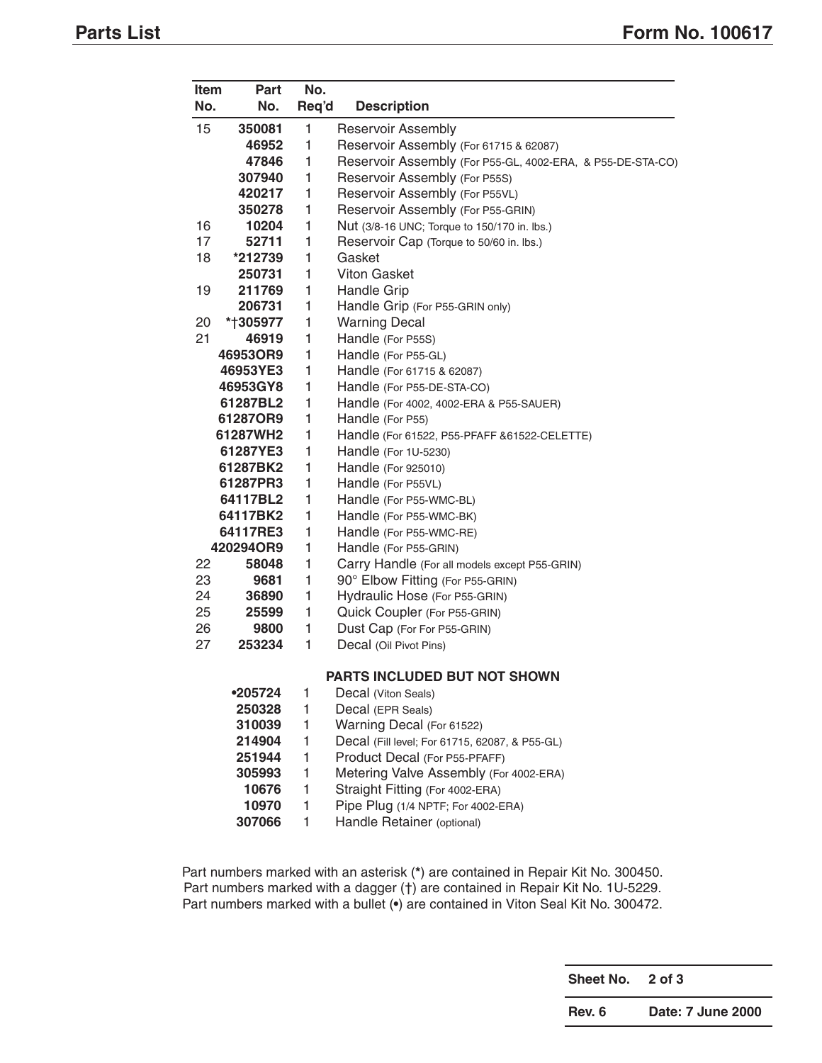| Item | Part      | No.          |                                                            |
|------|-----------|--------------|------------------------------------------------------------|
| No.  | No.       | Req'd        | <b>Description</b>                                         |
| 15   | 350081    | 1            | <b>Reservoir Assembly</b>                                  |
|      | 46952     | 1            | Reservoir Assembly (For 61715 & 62087)                     |
|      | 47846     | 1            | Reservoir Assembly (For P55-GL, 4002-ERA, & P55-DE-STA-CO) |
|      | 307940    | 1            | Reservoir Assembly (For P55S)                              |
|      | 420217    | 1            | Reservoir Assembly (For P55VL)                             |
|      | 350278    | $\mathbf{1}$ | Reservoir Assembly (For P55-GRIN)                          |
| 16   | 10204     | 1            | Nut (3/8-16 UNC; Torque to 150/170 in. lbs.)               |
| 17   | 52711     | 1            | Reservoir Cap (Torque to 50/60 in. lbs.)                   |
| 18   | *212739   | 1            | Gasket                                                     |
|      | 250731    | 1            | <b>Viton Gasket</b>                                        |
| 19   | 211769    | 1            | Handle Grip                                                |
|      | 206731    | 1            | Handle Grip (For P55-GRIN only)                            |
| 20   | *†305977  | 1            | <b>Warning Decal</b>                                       |
| 21   | 46919     | 1            | Handle (For P55S)                                          |
|      | 46953OR9  | 1            | Handle (For P55-GL)                                        |
|      | 46953YE3  | 1            | Handle (For 61715 & 62087)                                 |
|      | 46953GY8  | 1            | Handle (For P55-DE-STA-CO)                                 |
|      | 61287BL2  | 1            | Handle (For 4002, 4002-ERA & P55-SAUER)                    |
|      | 61287OR9  | 1            | Handle (For P55)                                           |
|      | 61287WH2  | 1            | Handle (For 61522, P55-PFAFF & 61522-CELETTE)              |
|      | 61287YE3  | 1            | Handle (For 1U-5230)                                       |
|      | 61287BK2  | 1            | Handle (For 925010)                                        |
|      | 61287PR3  | 1            | Handle (For P55VL)                                         |
|      | 64117BL2  | 1            | Handle (For P55-WMC-BL)                                    |
|      | 64117BK2  | 1            | Handle (For P55-WMC-BK)                                    |
|      | 64117RE3  | 1            | Handle (For P55-WMC-RE)                                    |
|      | 420294OR9 | 1            | Handle (For P55-GRIN)                                      |
| 22   | 58048     | 1            | Carry Handle (For all models except P55-GRIN)              |
| 23   | 9681      | 1            | 90° Elbow Fitting (For P55-GRIN)                           |
| 24   | 36890     | 1            | Hydraulic Hose (For P55-GRIN)                              |
| 25   | 25599     | 1            | Quick Coupler (For P55-GRIN)                               |
| 26   | 9800      | 1            | Dust Cap (For For P55-GRIN)                                |
| 27   | 253234    | 1            | Decal (Oil Pivot Pins)                                     |
|      |           |              | PARTS INCLUDED BUT NOT SHOWN                               |
|      | •205724   | 1            | Decal (Viton Seals)                                        |
|      | 250328    | 1            | Decal (EPR Seals)                                          |
|      | 310039    | 1            | Warning Decal (For 61522)                                  |
|      | 214904    | 1            | Decal (Fill level; For 61715, 62087, & P55-GL)             |
|      | 251944    | 1            | Product Decal (For P55-PFAFF)                              |
|      | 305993    | 1            | Metering Valve Assembly (For 4002-ERA)                     |
|      | 10676     | 1            | Straight Fitting (For 4002-ERA)                            |
|      | 10970     | 1            | Pipe Plug (1/4 NPTF; For 4002-ERA)                         |
|      | 307066    | 1            | Handle Retainer (optional)                                 |

Part numbers marked with an asterisk (**\***) are contained in Repair Kit No. 300450. Part numbers marked with a dagger (†) are contained in Repair Kit No. 1U-5229. Part numbers marked with a bullet (**•**) are contained in Viton Seal Kit No. 300472.

**Sheet No. 2 of 3**

**Rev. 6 Date: 7 June 2000**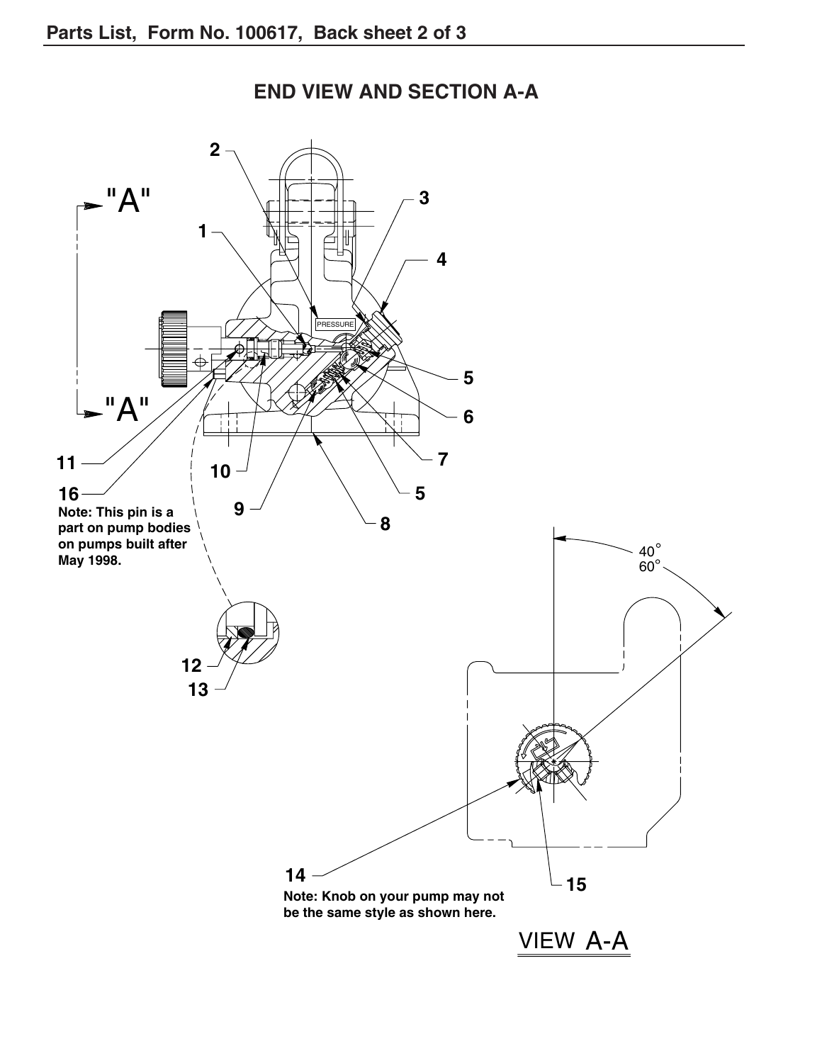

# **END VIEW AND SECTION A-A**